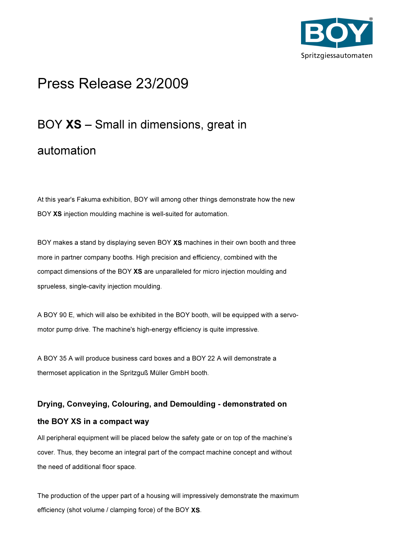

## Press Release 23/2009

# BOY XS – Small in dimensions, great in

### automation

At this year's Fakuma exhibition, BOY will among other things demonstrate how the new BOY XS injection moulding machine is well-suited for automation.

BOY makes a stand by displaying seven BOY XS machines in their own booth and three more in partner company booths. High precision and efficiency, combined with the compact dimensions of the BOY XS are unparalleled for micro injection moulding and sprueless, single-cavity injection moulding.

A BOY 90 E, which will also be exhibited in the BOY booth, will be equipped with a servomotor pump drive. The machine's high-energy efficiency is quite impressive.

A BOY 35 A will produce business card boxes and a BOY 22 A will demonstrate a thermoset application in the Spritzguß Müller GmbH booth.

#### Drying, Conveying, Colouring, and Demoulding - demonstrated on

#### the BOY XS in a compact way

All peripheral equipment will be placed below the safety gate or on top of the machine's cover. Thus, they become an integral part of the compact machine concept and without the need of additional floor space.

The production of the upper part of a housing will impressively demonstrate the maximum efficiency (shot volume / clamping force) of the BOY XS.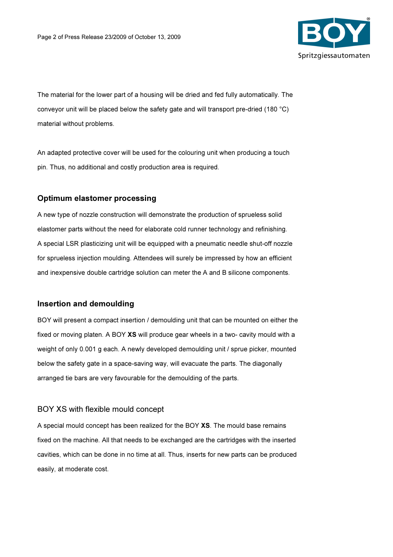

The material for the lower part of a housing will be dried and fed fully automatically. The conveyor unit will be placed below the safety gate and will transport pre-dried (180 °C) material without problems.

An adapted protective cover will be used for the colouring unit when producing a touch pin. Thus, no additional and costly production area is required.

#### Optimum elastomer processing

A new type of nozzle construction will demonstrate the production of sprueless solid elastomer parts without the need for elaborate cold runner technology and refinishing. A special LSR plasticizing unit will be equipped with a pneumatic needle shut-off nozzle for sprueless injection moulding. Attendees will surely be impressed by how an efficient and inexpensive double cartridge solution can meter the A and B silicone components.

#### Insertion and demoulding

BOY will present a compact insertion / demoulding unit that can be mounted on either the fixed or moving platen. A BOY XS will produce gear wheels in a two- cavity mould with a weight of only 0.001 g each. A newly developed demoulding unit / sprue picker, mounted below the safety gate in a space-saving way, will evacuate the parts. The diagonally arranged tie bars are very favourable for the demoulding of the parts.

#### BOY XS with flexible mould concept

A special mould concept has been realized for the BOY XS. The mould base remains fixed on the machine. All that needs to be exchanged are the cartridges with the inserted cavities, which can be done in no time at all. Thus, inserts for new parts can be produced easily, at moderate cost.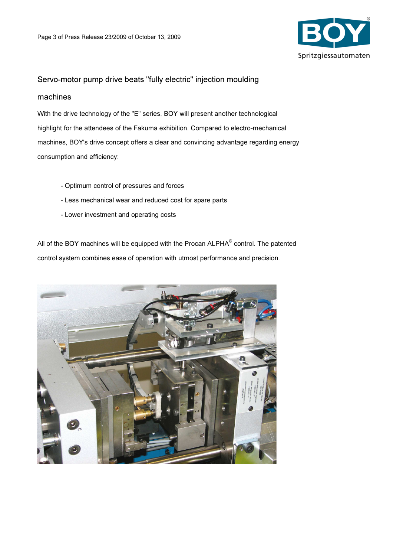

#### Servo-motor pump drive beats "fully electric" injection moulding

#### machines

With the drive technology of the "E" series, BOY will present another technological highlight for the attendees of the Fakuma exhibition. Compared to electro-mechanical machines, BOY's drive concept offers a clear and convincing advantage regarding energy consumption and efficiency:

- Optimum control of pressures and forces
- Less mechanical wear and reduced cost for spare parts
- Lower investment and operating costs

All of the BOY machines will be equipped with the Procan ALPHA<sup>®</sup> control. The patented control system combines ease of operation with utmost performance and precision.